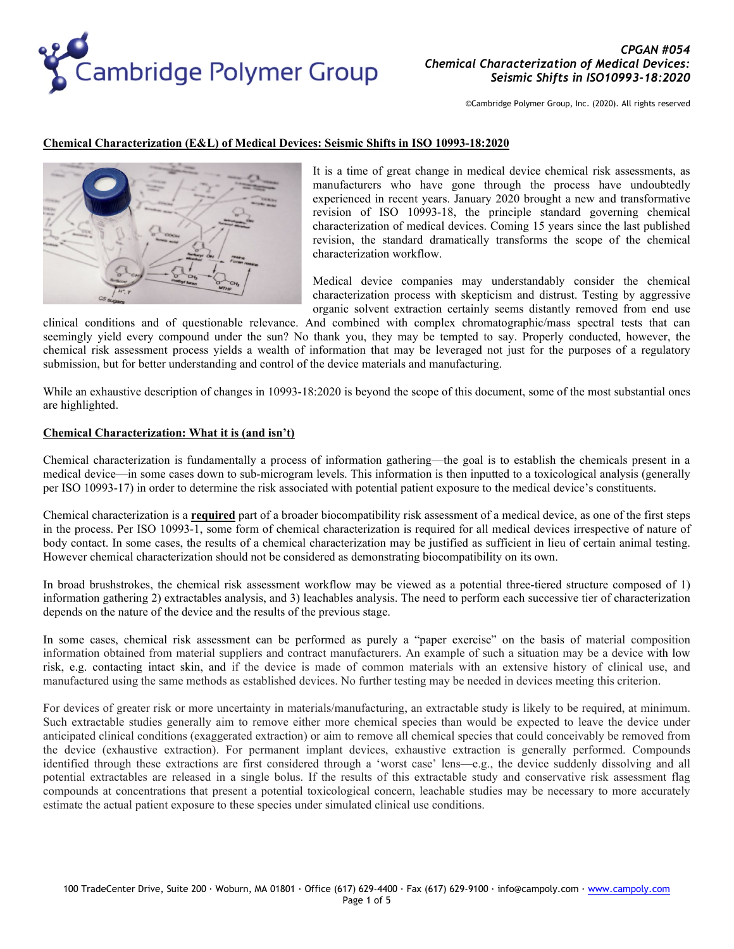

## **Chemical Characterization (E&L) of Medical Devices: Seismic Shifts in ISO 10993-18:2020**



It is a time of great change in medical device chemical risk assessments, as manufacturers who have gone through the process have undoubtedly experienced in recent years. January 2020 brought a new and transformative revision of ISO 10993-18, the principle standard governing chemical characterization of medical devices. Coming 15 years since the last published revision, the standard dramatically transforms the scope of the chemical characterization workflow.

Medical device companies may understandably consider the chemical characterization process with skepticism and distrust. Testing by aggressive organic solvent extraction certainly seems distantly removed from end use

clinical conditions and of questionable relevance. And combined with complex chromatographic/mass spectral tests that can seemingly yield every compound under the sun? No thank you, they may be tempted to say. Properly conducted, however, the chemical risk assessment process yields a wealth of information that may be leveraged not just for the purposes of a regulatory submission, but for better understanding and control of the device materials and manufacturing.

While an exhaustive description of changes in 10993-18:2020 is beyond the scope of this document, some of the most substantial ones are highlighted.

### **Chemical Characterization: What it is (and isn't)**

Chemical characterization is fundamentally a process of information gathering—the goal is to establish the chemicals present in a medical device—in some cases down to sub-microgram levels. This information is then inputted to a toxicological analysis (generally per ISO 10993-17) in order to determine the risk associated with potential patient exposure to the medical device's constituents.

Chemical characterization is a **required** part of a broader biocompatibility risk assessment of a medical device, as one of the first steps in the process. Per ISO 10993-1, some form of chemical characterization is required for all medical devices irrespective of nature of body contact. In some cases, the results of a chemical characterization may be justified as sufficient in lieu of certain animal testing. However chemical characterization should not be considered as demonstrating biocompatibility on its own.

In broad brushstrokes, the chemical risk assessment workflow may be viewed as a potential three-tiered structure composed of 1) information gathering 2) extractables analysis, and 3) leachables analysis. The need to perform each successive tier of characterization depends on the nature of the device and the results of the previous stage.

In some cases, chemical risk assessment can be performed as purely a "paper exercise" on the basis of material composition information obtained from material suppliers and contract manufacturers. An example of such a situation may be a device with low risk, e.g. contacting intact skin, and if the device is made of common materials with an extensive history of clinical use, and manufactured using the same methods as established devices. No further testing may be needed in devices meeting this criterion.

For devices of greater risk or more uncertainty in materials/manufacturing, an extractable study is likely to be required, at minimum. Such extractable studies generally aim to remove either more chemical species than would be expected to leave the device under anticipated clinical conditions (exaggerated extraction) or aim to remove all chemical species that could conceivably be removed from the device (exhaustive extraction). For permanent implant devices, exhaustive extraction is generally performed. Compounds identified through these extractions are first considered through a 'worst case' lens—e.g., the device suddenly dissolving and all potential extractables are released in a single bolus. If the results of this extractable study and conservative risk assessment flag compounds at concentrations that present a potential toxicological concern, leachable studies may be necessary to more accurately estimate the actual patient exposure to these species under simulated clinical use conditions.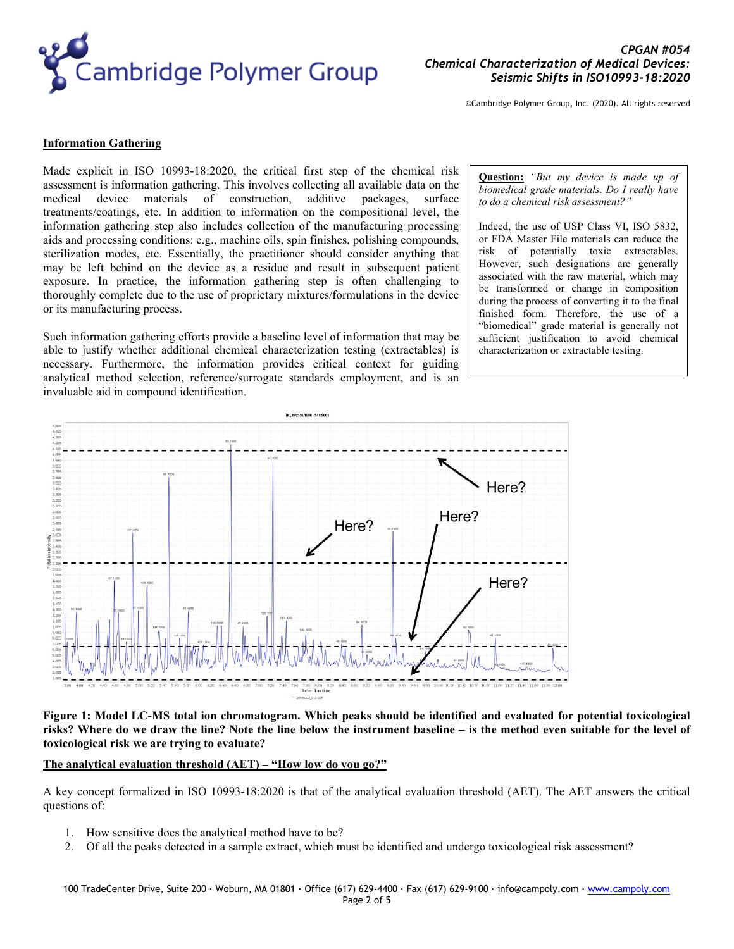

# **Information Gathering**

Made explicit in ISO 10993-18:2020, the critical first step of the chemical risk assessment is information gathering. This involves collecting all available data on the medical device materials of construction, additive packages, surface treatments/coatings, etc. In addition to information on the compositional level, the information gathering step also includes collection of the manufacturing processing aids and processing conditions: e.g., machine oils, spin finishes, polishing compounds, sterilization modes, etc. Essentially, the practitioner should consider anything that may be left behind on the device as a residue and result in subsequent patient exposure. In practice, the information gathering step is often challenging to thoroughly complete due to the use of proprietary mixtures/formulations in the device or its manufacturing process.

Such information gathering efforts provide a baseline level of information that may be able to justify whether additional chemical characterization testing (extractables) is necessary. Furthermore, the information provides critical context for guiding analytical method selection, reference/surrogate standards employment, and is an invaluable aid in compound identification.

#### **Question:** *"But my device is made up of biomedical grade materials. Do I really have to do a chemical risk assessment?"*

Indeed, the use of USP Class VI, ISO 5832, or FDA Master File materials can reduce the risk of potentially toxic extractables. However, such designations are generally associated with the raw material, which may be transformed or change in composition during the process of converting it to the final finished form. Therefore, the use of a "biomedical" grade material is generally not sufficient justification to avoid chemical characterization or extractable testing.



**Figure 1: Model LC-MS total ion chromatogram. Which peaks should be identified and evaluated for potential toxicological risks? Where do we draw the line? Note the line below the instrument baseline – is the method even suitable for the level of toxicological risk we are trying to evaluate?**

## **The analytical evaluation threshold (AET) – "How low do you go?"**

A key concept formalized in ISO 10993-18:2020 is that of the analytical evaluation threshold (AET). The AET answers the critical questions of:

- 1. How sensitive does the analytical method have to be?
- 2. Of all the peaks detected in a sample extract, which must be identified and undergo toxicological risk assessment?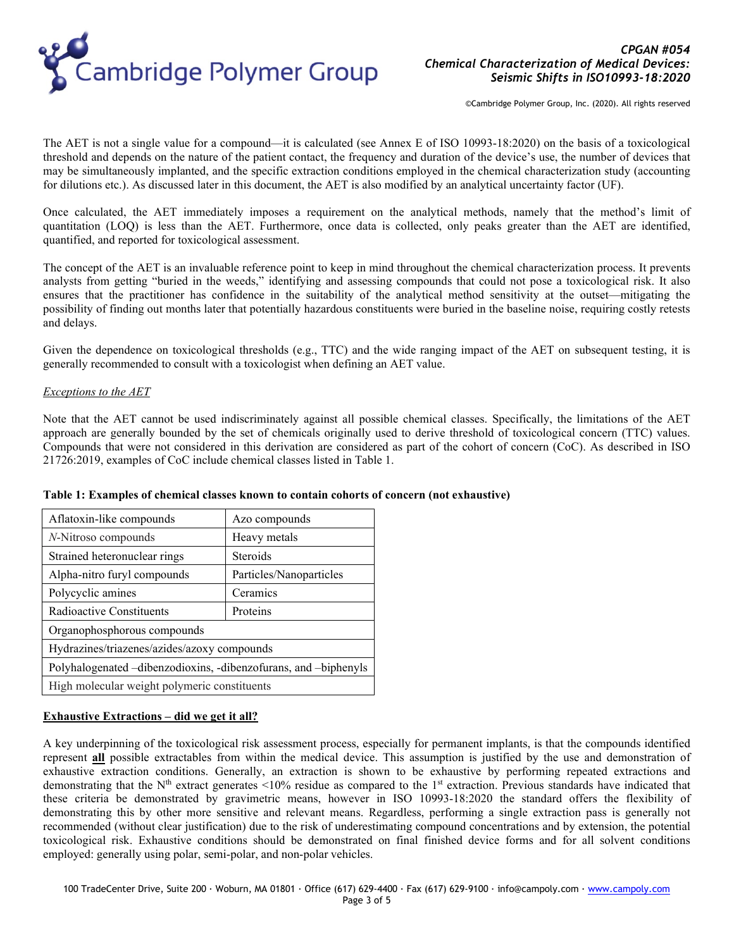

The AET is not a single value for a compound—it is calculated (see Annex E of ISO 10993-18:2020) on the basis of a toxicological threshold and depends on the nature of the patient contact, the frequency and duration of the device's use, the number of devices that may be simultaneously implanted, and the specific extraction conditions employed in the chemical characterization study (accounting for dilutions etc.). As discussed later in this document, the AET is also modified by an analytical uncertainty factor (UF).

Once calculated, the AET immediately imposes a requirement on the analytical methods, namely that the method's limit of quantitation (LOQ) is less than the AET. Furthermore, once data is collected, only peaks greater than the AET are identified, quantified, and reported for toxicological assessment.

The concept of the AET is an invaluable reference point to keep in mind throughout the chemical characterization process. It prevents analysts from getting "buried in the weeds," identifying and assessing compounds that could not pose a toxicological risk. It also ensures that the practitioner has confidence in the suitability of the analytical method sensitivity at the outset—mitigating the possibility of finding out months later that potentially hazardous constituents were buried in the baseline noise, requiring costly retests and delays.

Given the dependence on toxicological thresholds (e.g., TTC) and the wide ranging impact of the AET on subsequent testing, it is generally recommended to consult with a toxicologist when defining an AET value.

# *Exceptions to the AET*

Note that the AET cannot be used indiscriminately against all possible chemical classes. Specifically, the limitations of the AET approach are generally bounded by the set of chemicals originally used to derive threshold of toxicological concern (TTC) values. Compounds that were not considered in this derivation are considered as part of the cohort of concern (CoC). As described in ISO 21726:2019, examples of CoC include chemical classes listed in [Table 1.](#page-2-0)

| Aflatoxin-like compounds                                        | Azo compounds           |
|-----------------------------------------------------------------|-------------------------|
| N-Nitroso compounds                                             | Heavy metals            |
| Strained heteronuclear rings                                    | Steroids                |
| Alpha-nitro furyl compounds                                     | Particles/Nanoparticles |
| Polycyclic amines                                               | Ceramics                |
| Radioactive Constituents                                        | Proteins                |
| Organophosphorous compounds                                     |                         |
| Hydrazines/triazenes/azides/azoxy compounds                     |                         |
| Polyhalogenated –dibenzodioxins, -dibenzofurans, and –biphenyls |                         |
| High molecular weight polymeric constituents                    |                         |

## <span id="page-2-0"></span>**Table 1: Examples of chemical classes known to contain cohorts of concern (not exhaustive)**

# **Exhaustive Extractions – did we get it all?**

A key underpinning of the toxicological risk assessment process, especially for permanent implants, is that the compounds identified represent **all** possible extractables from within the medical device. This assumption is justified by the use and demonstration of exhaustive extraction conditions. Generally, an extraction is shown to be exhaustive by performing repeated extractions and demonstrating that the N<sup>th</sup> extract generates <10% residue as compared to the 1<sup>st</sup> extraction. Previous standards have indicated that these criteria be demonstrated by gravimetric means, however in ISO 10993-18:2020 the standard offers the flexibility of demonstrating this by other more sensitive and relevant means. Regardless, performing a single extraction pass is generally not recommended (without clear justification) due to the risk of underestimating compound concentrations and by extension, the potential toxicological risk. Exhaustive conditions should be demonstrated on final finished device forms and for all solvent conditions employed: generally using polar, semi-polar, and non-polar vehicles.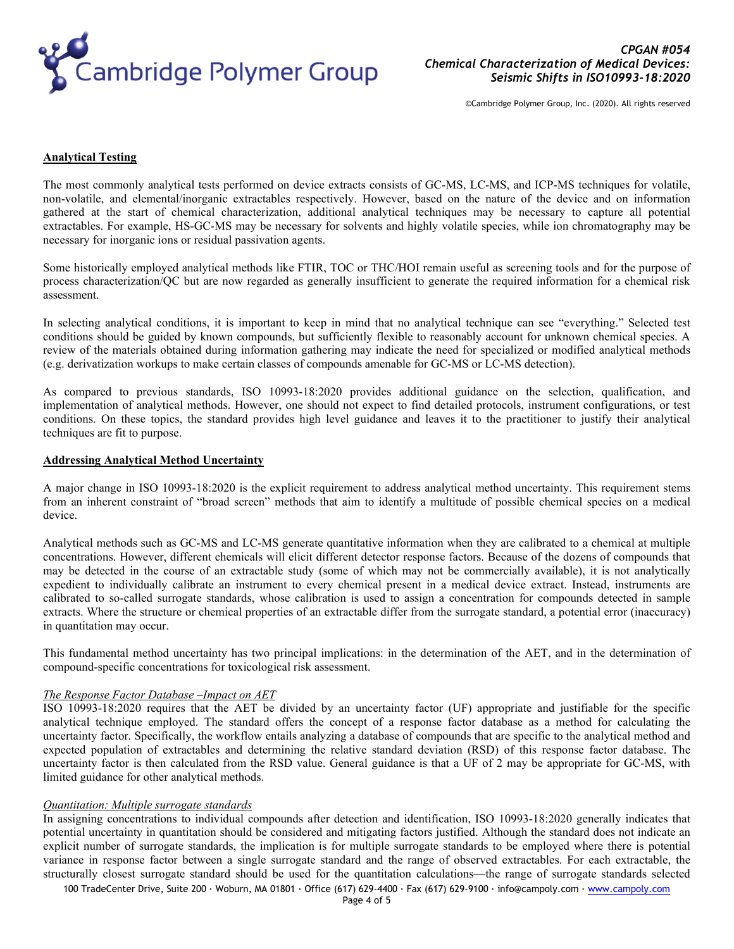

### **Analytical Testing**

The most commonly analytical tests performed on device extracts consists of GC-MS, LC-MS, and ICP-MS techniques for volatile, non-volatile, and elemental/inorganic extractables respectively. However, based on the nature of the device and on information gathered at the start of chemical characterization, additional analytical techniques may be necessary to capture all potential extractables. For example, HS-GC-MS may be necessary for solvents and highly volatile species, while ion chromatography may be necessary for inorganic ions or residual passivation agents.

Some historically employed analytical methods like FTIR, TOC or THC/HOI remain useful as screening tools and for the purpose of process characterization/QC but are now regarded as generally insufficient to generate the required information for a chemical risk assessment.

In selecting analytical conditions, it is important to keep in mind that no analytical technique can see "everything." Selected test conditions should be guided by known compounds, but sufficiently flexible to reasonably account for unknown chemical species. A review of the materials obtained during information gathering may indicate the need for specialized or modified analytical methods (e.g. derivatization workups to make certain classes of compounds amenable for GC-MS or LC-MS detection).

As compared to previous standards, ISO 10993-18:2020 provides additional guidance on the selection, qualification, and implementation of analytical methods. However, one should not expect to find detailed protocols, instrument configurations, or test conditions. On these topics, the standard provides high level guidance and leaves it to the practitioner to justify their analytical techniques are fit to purpose.

# **Addressing Analytical Method Uncertainty**

A major change in ISO 10993-18:2020 is the explicit requirement to address analytical method uncertainty. This requirement stems from an inherent constraint of "broad screen" methods that aim to identify a multitude of possible chemical species on a medical device.

Analytical methods such as GC-MS and LC-MS generate quantitative information when they are calibrated to a chemical at multiple concentrations. However, different chemicals will elicit different detector response factors. Because of the dozens of compounds that may be detected in the course of an extractable study (some of which may not be commercially available), it is not analytically expedient to individually calibrate an instrument to every chemical present in a medical device extract. Instead, instruments are calibrated to so-called surrogate standards, whose calibration is used to assign a concentration for compounds detected in sample extracts. Where the structure or chemical properties of an extractable differ from the surrogate standard, a potential error (inaccuracy) in quantitation may occur.

This fundamental method uncertainty has two principal implications: in the determination of the AET, and in the determination of compound-specific concentrations for toxicological risk assessment.

## *The Response Factor Database –Impact on AET*

ISO 10993-18:2020 requires that the AET be divided by an uncertainty factor (UF) appropriate and justifiable for the specific analytical technique employed. The standard offers the concept of a response factor database as a method for calculating the uncertainty factor. Specifically, the workflow entails analyzing a database of compounds that are specific to the analytical method and expected population of extractables and determining the relative standard deviation (RSD) of this response factor database. The uncertainty factor is then calculated from the RSD value. General guidance is that a UF of 2 may be appropriate for GC-MS, with limited guidance for other analytical methods.

## *Quantitation: Multiple surrogate standards*

In assigning concentrations to individual compounds after detection and identification, ISO 10993-18:2020 generally indicates that potential uncertainty in quantitation should be considered and mitigating factors justified. Although the standard does not indicate an explicit number of surrogate standards, the implication is for multiple surrogate standards to be employed where there is potential variance in response factor between a single surrogate standard and the range of observed extractables. For each extractable, the structurally closest surrogate standard should be used for the quantitation calculations—the range of surrogate standards selected

100 TradeCenter Drive, Suite 200 ∙ Woburn, MA 01801 ∙ Office (617) 629-4400 ∙ Fax (617) 629-9100 ∙ info@campoly.com ∙ [www.campoly.com](http://www.campoly.com/)